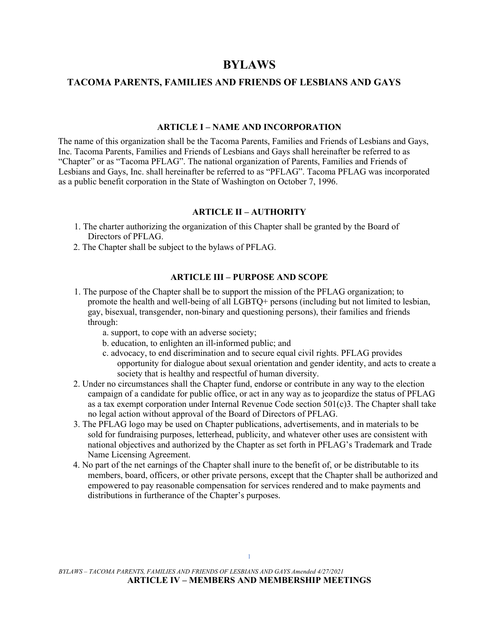# **BYLAWS**

# **TACOMA PARENTS, FAMILIES AND FRIENDS OF LESBIANS AND GAYS**

#### **ARTICLE I – NAME AND INCORPORATION**

The name of this organization shall be the Tacoma Parents, Families and Friends of Lesbians and Gays, Inc. Tacoma Parents, Families and Friends of Lesbians and Gays shall hereinafter be referred to as "Chapter" or as "Tacoma PFLAG". The national organization of Parents, Families and Friends of Lesbians and Gays, Inc. shall hereinafter be referred to as "PFLAG". Tacoma PFLAG was incorporated as a public benefit corporation in the State of Washington on October 7, 1996.

# **ARTICLE II – AUTHORITY**

- 1. The charter authorizing the organization of this Chapter shall be granted by the Board of Directors of PFLAG.
- 2. The Chapter shall be subject to the bylaws of PFLAG.

# **ARTICLE III – PURPOSE AND SCOPE**

- 1. The purpose of the Chapter shall be to support the mission of the PFLAG organization; to promote the health and well-being of all LGBTQ+ persons (including but not limited to lesbian, gay, bisexual, transgender, non-binary and questioning persons), their families and friends through:
	- a. support, to cope with an adverse society;
	- b. education, to enlighten an ill-informed public; and
	- c. advocacy, to end discrimination and to secure equal civil rights. PFLAG provides opportunity for dialogue about sexual orientation and gender identity, and acts to create a society that is healthy and respectful of human diversity.
- 2. Under no circumstances shall the Chapter fund, endorse or contribute in any way to the election campaign of a candidate for public office, or act in any way as to jeopardize the status of PFLAG as a tax exempt corporation under Internal Revenue Code section 501(c)3. The Chapter shall take no legal action without approval of the Board of Directors of PFLAG.
- 3. The PFLAG logo may be used on Chapter publications, advertisements, and in materials to be sold for fundraising purposes, letterhead, publicity, and whatever other uses are consistent with national objectives and authorized by the Chapter as set forth in PFLAG's Trademark and Trade Name Licensing Agreement.
- 4. No part of the net earnings of the Chapter shall inure to the benefit of, or be distributable to its members, board, officers, or other private persons, except that the Chapter shall be authorized and empowered to pay reasonable compensation for services rendered and to make payments and distributions in furtherance of the Chapter's purposes.

*BYLAWS – TACOMA PARENTS, FAMILIES AND FRIENDS OF LESBIANS AND GAYS Amended 4/27/2021*  **ARTICLE IV – MEMBERS AND MEMBERSHIP MEETINGS**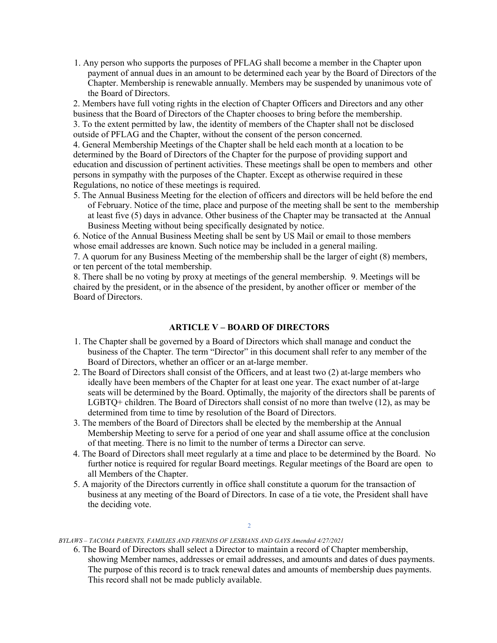1. Any person who supports the purposes of PFLAG shall become a member in the Chapter upon payment of annual dues in an amount to be determined each year by the Board of Directors of the Chapter. Membership is renewable annually. Members may be suspended by unanimous vote of the Board of Directors.

2. Members have full voting rights in the election of Chapter Officers and Directors and any other business that the Board of Directors of the Chapter chooses to bring before the membership. 3. To the extent permitted by law, the identity of members of the Chapter shall not be disclosed outside of PFLAG and the Chapter, without the consent of the person concerned.

4. General Membership Meetings of the Chapter shall be held each month at a location to be determined by the Board of Directors of the Chapter for the purpose of providing support and education and discussion of pertinent activities. These meetings shall be open to members and other persons in sympathy with the purposes of the Chapter. Except as otherwise required in these Regulations, no notice of these meetings is required.

5. The Annual Business Meeting for the election of officers and directors will be held before the end of February. Notice of the time, place and purpose of the meeting shall be sent to the membership at least five (5) days in advance. Other business of the Chapter may be transacted at the Annual Business Meeting without being specifically designated by notice.

6. Notice of the Annual Business Meeting shall be sent by US Mail or email to those members whose email addresses are known. Such notice may be included in a general mailing.

7. A quorum for any Business Meeting of the membership shall be the larger of eight (8) members, or ten percent of the total membership.

8. There shall be no voting by proxy at meetings of the general membership. 9. Meetings will be chaired by the president, or in the absence of the president, by another officer or member of the Board of Directors.

### **ARTICLE V – BOARD OF DIRECTORS**

- 1. The Chapter shall be governed by a Board of Directors which shall manage and conduct the business of the Chapter. The term "Director" in this document shall refer to any member of the Board of Directors, whether an officer or an at-large member.
- 2. The Board of Directors shall consist of the Officers, and at least two (2) at-large members who ideally have been members of the Chapter for at least one year. The exact number of at-large seats will be determined by the Board. Optimally, the majority of the directors shall be parents of LGBTQ+ children. The Board of Directors shall consist of no more than twelve (12), as may be determined from time to time by resolution of the Board of Directors.
- 3. The members of the Board of Directors shall be elected by the membership at the Annual Membership Meeting to serve for a period of one year and shall assume office at the conclusion of that meeting. There is no limit to the number of terms a Director can serve.
- 4. The Board of Directors shall meet regularly at a time and place to be determined by the Board. No further notice is required for regular Board meetings. Regular meetings of the Board are open to all Members of the Chapter.
- 5. A majority of the Directors currently in office shall constitute a quorum for the transaction of business at any meeting of the Board of Directors. In case of a tie vote, the President shall have the deciding vote.

 $\mathcal{L}$ 

#### *BYLAWS – TACOMA PARENTS, FAMILIES AND FRIENDS OF LESBIANS AND GAYS Amended 4/27/2021*

6. The Board of Directors shall select a Director to maintain a record of Chapter membership, showing Member names, addresses or email addresses, and amounts and dates of dues payments. The purpose of this record is to track renewal dates and amounts of membership dues payments. This record shall not be made publicly available.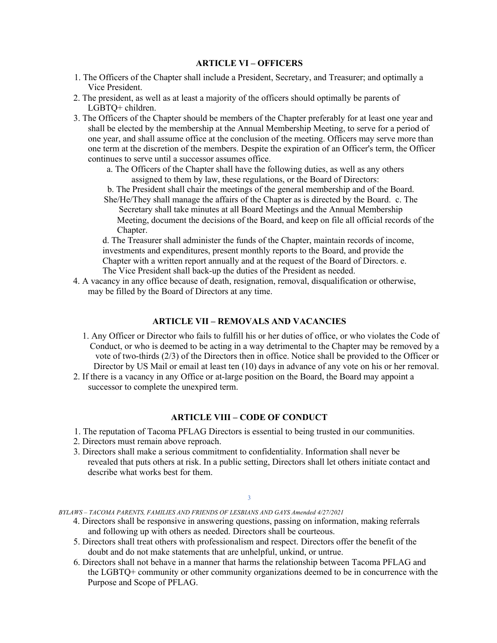# **ARTICLE VI – OFFICERS**

- 1. The Officers of the Chapter shall include a President, Secretary, and Treasurer; and optimally a Vice President.
- 2. The president, as well as at least a majority of the officers should optimally be parents of LGBTQ+ children.
- 3. The Officers of the Chapter should be members of the Chapter preferably for at least one year and shall be elected by the membership at the Annual Membership Meeting, to serve for a period of one year, and shall assume office at the conclusion of the meeting. Officers may serve more than one term at the discretion of the members. Despite the expiration of an Officer's term, the Officer continues to serve until a successor assumes office.
	- a. The Officers of the Chapter shall have the following duties, as well as any others assigned to them by law, these regulations, or the Board of Directors:
	- b. The President shall chair the meetings of the general membership and of the Board. She/He/They shall manage the affairs of the Chapter as is directed by the Board. c. The

Secretary shall take minutes at all Board Meetings and the Annual Membership Meeting, document the decisions of the Board, and keep on file all official records of the Chapter.

d. The Treasurer shall administer the funds of the Chapter, maintain records of income, investments and expenditures, present monthly reports to the Board, and provide the Chapter with a written report annually and at the request of the Board of Directors. e. The Vice President shall back-up the duties of the President as needed.

4. A vacancy in any office because of death, resignation, removal, disqualification or otherwise, may be filled by the Board of Directors at any time.

# **ARTICLE VII – REMOVALS AND VACANCIES**

- 1. Any Officer or Director who fails to fulfill his or her duties of office, or who violates the Code of Conduct, or who is deemed to be acting in a way detrimental to the Chapter may be removed by a vote of two-thirds (2/3) of the Directors then in office. Notice shall be provided to the Officer or Director by US Mail or email at least ten (10) days in advance of any vote on his or her removal.
- 2. If there is a vacancy in any Office or at-large position on the Board, the Board may appoint a successor to complete the unexpired term.

### **ARTICLE VIII – CODE OF CONDUCT**

- 1. The reputation of Tacoma PFLAG Directors is essential to being trusted in our communities.
- 2. Directors must remain above reproach.
- 3. Directors shall make a serious commitment to confidentiality. Information shall never be revealed that puts others at risk. In a public setting, Directors shall let others initiate contact and describe what works best for them.

#### 3

*BYLAWS – TACOMA PARENTS, FAMILIES AND FRIENDS OF LESBIANS AND GAYS Amended 4/27/2021* 

- 4. Directors shall be responsive in answering questions, passing on information, making referrals and following up with others as needed. Directors shall be courteous.
- 5. Directors shall treat others with professionalism and respect. Directors offer the benefit of the doubt and do not make statements that are unhelpful, unkind, or untrue.
- 6. Directors shall not behave in a manner that harms the relationship between Tacoma PFLAG and the LGBTQ+ community or other community organizations deemed to be in concurrence with the Purpose and Scope of PFLAG.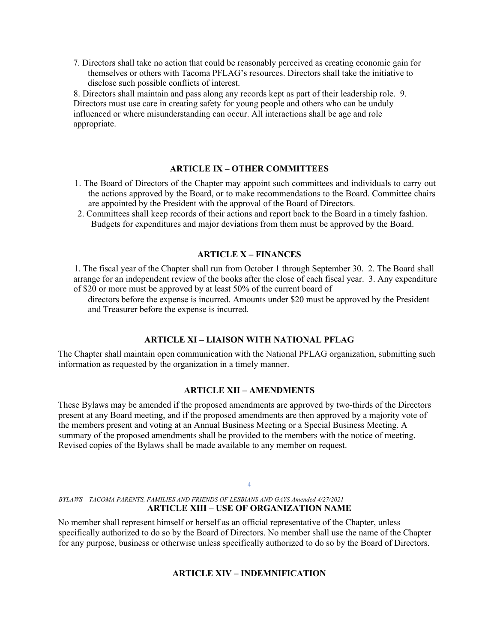7. Directors shall take no action that could be reasonably perceived as creating economic gain for themselves or others with Tacoma PFLAG's resources. Directors shall take the initiative to disclose such possible conflicts of interest.

8. Directors shall maintain and pass along any records kept as part of their leadership role. 9. Directors must use care in creating safety for young people and others who can be unduly influenced or where misunderstanding can occur. All interactions shall be age and role appropriate.

### **ARTICLE IX – OTHER COMMITTEES**

- 1. The Board of Directors of the Chapter may appoint such committees and individuals to carry out the actions approved by the Board, or to make recommendations to the Board. Committee chairs are appointed by the President with the approval of the Board of Directors.
- 2. Committees shall keep records of their actions and report back to the Board in a timely fashion. Budgets for expenditures and major deviations from them must be approved by the Board.

# **ARTICLE X – FINANCES**

1. The fiscal year of the Chapter shall run from October 1 through September 30. 2. The Board shall arrange for an independent review of the books after the close of each fiscal year. 3. Any expenditure of \$20 or more must be approved by at least 50% of the current board of

directors before the expense is incurred. Amounts under \$20 must be approved by the President and Treasurer before the expense is incurred.

### **ARTICLE XI – LIAISON WITH NATIONAL PFLAG**

The Chapter shall maintain open communication with the National PFLAG organization, submitting such information as requested by the organization in a timely manner.

### **ARTICLE XII – AMENDMENTS**

These Bylaws may be amended if the proposed amendments are approved by two-thirds of the Directors present at any Board meeting, and if the proposed amendments are then approved by a majority vote of the members present and voting at an Annual Business Meeting or a Special Business Meeting. A summary of the proposed amendments shall be provided to the members with the notice of meeting. Revised copies of the Bylaws shall be made available to any member on request.

# *BYLAWS – TACOMA PARENTS, FAMILIES AND FRIENDS OF LESBIANS AND GAYS Amended 4/27/2021*  **ARTICLE XIII – USE OF ORGANIZATION NAME**

No member shall represent himself or herself as an official representative of the Chapter, unless specifically authorized to do so by the Board of Directors. No member shall use the name of the Chapter for any purpose, business or otherwise unless specifically authorized to do so by the Board of Directors.

4

# **ARTICLE XIV – INDEMNIFICATION**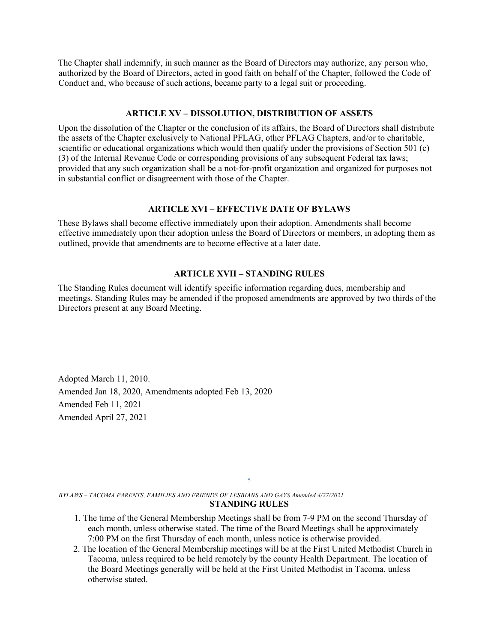The Chapter shall indemnify, in such manner as the Board of Directors may authorize, any person who, authorized by the Board of Directors, acted in good faith on behalf of the Chapter, followed the Code of Conduct and, who because of such actions, became party to a legal suit or proceeding.

### **ARTICLE XV – DISSOLUTION, DISTRIBUTION OF ASSETS**

Upon the dissolution of the Chapter or the conclusion of its affairs, the Board of Directors shall distribute the assets of the Chapter exclusively to National PFLAG, other PFLAG Chapters, and/or to charitable, scientific or educational organizations which would then qualify under the provisions of Section 501 (c) (3) of the Internal Revenue Code or corresponding provisions of any subsequent Federal tax laws; provided that any such organization shall be a not-for-profit organization and organized for purposes not in substantial conflict or disagreement with those of the Chapter.

# **ARTICLE XVI – EFFECTIVE DATE OF BYLAWS**

These Bylaws shall become effective immediately upon their adoption. Amendments shall become effective immediately upon their adoption unless the Board of Directors or members, in adopting them as outlined, provide that amendments are to become effective at a later date.

### **ARTICLE XVII – STANDING RULES**

The Standing Rules document will identify specific information regarding dues, membership and meetings. Standing Rules may be amended if the proposed amendments are approved by two thirds of the Directors present at any Board Meeting.

Adopted March 11, 2010. Amended Jan 18, 2020, Amendments adopted Feb 13, 2020 Amended Feb 11, 2021 Amended April 27, 2021

5

*BYLAWS – TACOMA PARENTS, FAMILIES AND FRIENDS OF LESBIANS AND GAYS Amended 4/27/2021*  **STANDING RULES** 

- 1. The time of the General Membership Meetings shall be from 7-9 PM on the second Thursday of each month, unless otherwise stated. The time of the Board Meetings shall be approximately 7:00 PM on the first Thursday of each month, unless notice is otherwise provided.
- 2. The location of the General Membership meetings will be at the First United Methodist Church in Tacoma, unless required to be held remotely by the county Health Department. The location of the Board Meetings generally will be held at the First United Methodist in Tacoma, unless otherwise stated.